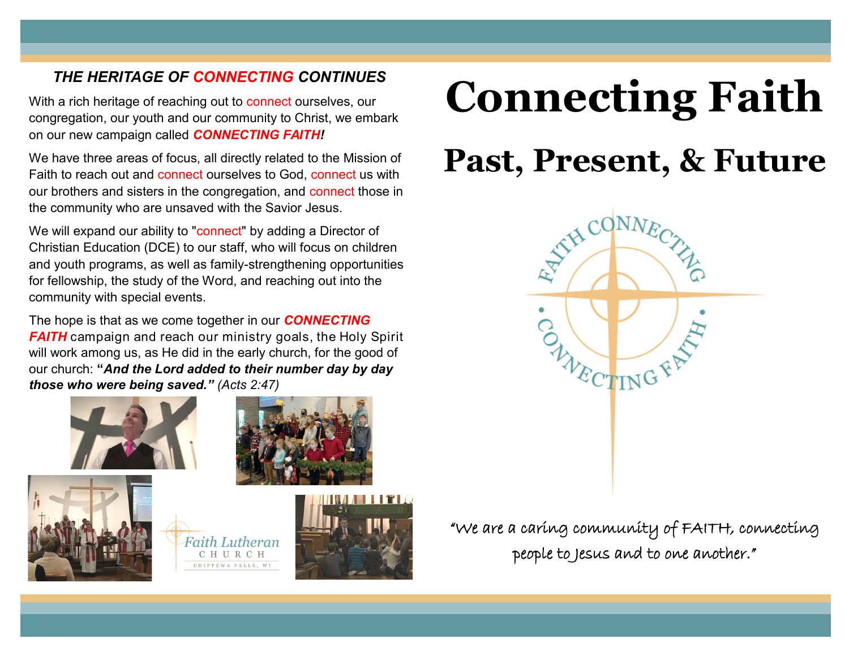## *THE HERITAGE OF CONNECTING CONTINUES*

With a rich heritage of reaching out to connect ourselves, our congregation, our youth and our community to Christ, we embark on our new campaign called *CONNECTING FAITH!*

We have three areas of focus, all directly related to the Mission of Faith to reach out and connect ourselves to God, connect us with our brothers and sisters in the congregation, and connect those in the community who are unsaved with the Savior Jesus.

We will expand our ability to "connect" by adding a Director of Christian Education (DCE) to our staff, who will focus on children and youth programs, as well as family-strengthening opportunities for fellowship, the study of the Word, and reaching out into the community with special events.

The hope is that as we come together in our *CONNECTING FAITH* campaign and reach our ministry goals, the Holy Spirit will work among us, as He did in the early church, for the good of our church: **"***And the Lord added to their number day by day those who were being saved." (Acts 2:47)*







CHURCH CHIPPEWA FALLS, WI



## **Connecting Faith**

## **Past, Present, & Future**



"We are a caring community of FAITH, connecting people to Jesus and to one another."